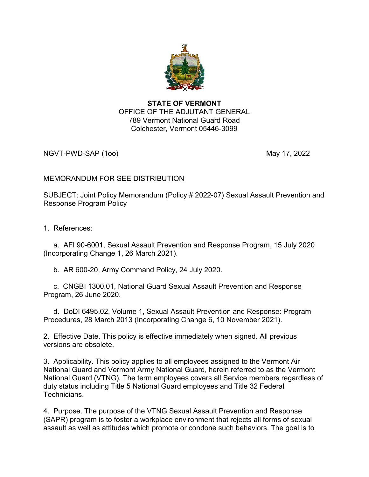

## STATE OF VERMONT OFFICE OF THE ADJUTANT GENERAL 789 Vermont National Guard Road Colchester, Vermont 05446-3099

NGVT-PWD-SAP (100) 2022 12:00 12:00 12:00 12:00 12:00 12:00 12:00 12:00 12:00 12:00 12:00 12:00 12:00 12:00 12

## MEMORANDUM FOR SEE DISTRIBUTION

SUBJECT: Joint Policy Memorandum (Policy # 2022-07) Sexual Assault Prevention and Response Program Policy

1. References:

 a. AFI 90-6001, Sexual Assault Prevention and Response Program, 15 July 2020 (Incorporating Change 1, 26 March 2021).

b. AR 600-20, Army Command Policy, 24 July 2020.

 c. CNGBI 1300.01, National Guard Sexual Assault Prevention and Response Program, 26 June 2020.

 d. DoDI 6495.02, Volume 1, Sexual Assault Prevention and Response: Program Procedures, 28 March 2013 (Incorporating Change 6, 10 November 2021).

2. Effective Date. This policy is effective immediately when signed. All previous versions are obsolete.

3. Applicability. This policy applies to all employees assigned to the Vermont Air National Guard and Vermont Army National Guard, herein referred to as the Vermont National Guard (VTNG). The term employees covers all Service members regardless of duty status including Title 5 National Guard employees and Title 32 Federal Technicians.

4. Purpose. The purpose of the VTNG Sexual Assault Prevention and Response (SAPR) program is to foster a workplace environment that rejects all forms of sexual assault as well as attitudes which promote or condone such behaviors. The goal is to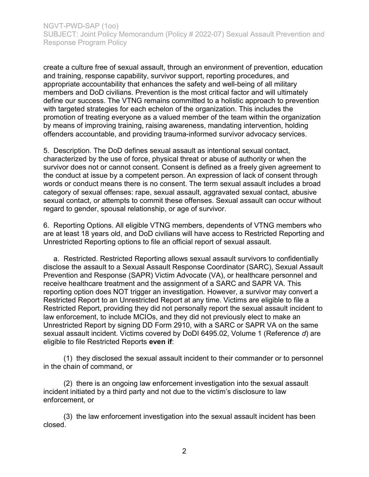create a culture free of sexual assault, through an environment of prevention, education and training, response capability, survivor support, reporting procedures, and appropriate accountability that enhances the safety and well-being of all military members and DoD civilians. Prevention is the most critical factor and will ultimately define our success. The VTNG remains committed to a holistic approach to prevention with targeted strategies for each echelon of the organization. This includes the promotion of treating everyone as a valued member of the team within the organization by means of improving training, raising awareness, mandating intervention, holding offenders accountable, and providing trauma-informed survivor advocacy services.

5. Description. The DoD defines sexual assault as intentional sexual contact, characterized by the use of force, physical threat or abuse of authority or when the survivor does not or cannot consent. Consent is defined as a freely given agreement to the conduct at issue by a competent person. An expression of lack of consent through words or conduct means there is no consent. The term sexual assault includes a broad category of sexual offenses: rape, sexual assault, aggravated sexual contact, abusive sexual contact, or attempts to commit these offenses. Sexual assault can occur without regard to gender, spousal relationship, or age of survivor.

6. Reporting Options. All eligible VTNG members, dependents of VTNG members who are at least 18 years old, and DoD civilians will have access to Restricted Reporting and Unrestricted Reporting options to file an official report of sexual assault.

 a. Restricted. Restricted Reporting allows sexual assault survivors to confidentially disclose the assault to a Sexual Assault Response Coordinator (SARC), Sexual Assault Prevention and Response (SAPR) Victim Advocate (VA), or healthcare personnel and receive healthcare treatment and the assignment of a SARC and SAPR VA. This reporting option does NOT trigger an investigation. However, a survivor may convert a Restricted Report to an Unrestricted Report at any time. Victims are eligible to file a Restricted Report, providing they did not personally report the sexual assault incident to law enforcement, to include MCIOs, and they did not previously elect to make an Unrestricted Report by signing DD Form 2910, with a SARC or SAPR VA on the same sexual assault incident. Victims covered by DoDI 6495.02, Volume 1 (Reference d) are eligible to file Restricted Reports even if:

 (1) they disclosed the sexual assault incident to their commander or to personnel in the chain of command, or

 (2) there is an ongoing law enforcement investigation into the sexual assault incident initiated by a third party and not due to the victim's disclosure to law enforcement, or

 (3) the law enforcement investigation into the sexual assault incident has been closed.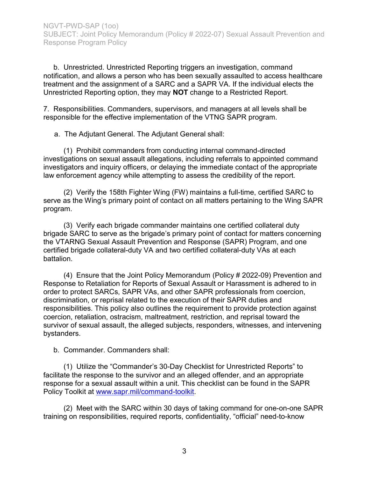b. Unrestricted. Unrestricted Reporting triggers an investigation, command notification, and allows a person who has been sexually assaulted to access healthcare treatment and the assignment of a SARC and a SAPR VA. If the individual elects the Unrestricted Reporting option, they may NOT change to a Restricted Report.

7. Responsibilities. Commanders, supervisors, and managers at all levels shall be responsible for the effective implementation of the VTNG SAPR program.

a. The Adjutant General. The Adjutant General shall:

 (1) Prohibit commanders from conducting internal command-directed investigations on sexual assault allegations, including referrals to appointed command investigators and inquiry officers, or delaying the immediate contact of the appropriate law enforcement agency while attempting to assess the credibility of the report.

 (2) Verify the 158th Fighter Wing (FW) maintains a full-time, certified SARC to serve as the Wing's primary point of contact on all matters pertaining to the Wing SAPR program.

 (3) Verify each brigade commander maintains one certified collateral duty brigade SARC to serve as the brigade's primary point of contact for matters concerning the VTARNG Sexual Assault Prevention and Response (SAPR) Program, and one certified brigade collateral-duty VA and two certified collateral-duty VAs at each battalion.

 (4) Ensure that the Joint Policy Memorandum (Policy # 2022-09) Prevention and Response to Retaliation for Reports of Sexual Assault or Harassment is adhered to in order to protect SARCs, SAPR VAs, and other SAPR professionals from coercion, discrimination, or reprisal related to the execution of their SAPR duties and responsibilities. This policy also outlines the requirement to provide protection against coercion, retaliation, ostracism, maltreatment, restriction, and reprisal toward the survivor of sexual assault, the alleged subjects, responders, witnesses, and intervening bystanders.

b. Commander. Commanders shall:

 (1) Utilize the "Commander's 30-Day Checklist for Unrestricted Reports" to facilitate the response to the survivor and an alleged offender, and an appropriate response for a sexual assault within a unit. This checklist can be found in the SAPR Policy Toolkit at www.sapr.mil/command-toolkit.

 (2) Meet with the SARC within 30 days of taking command for one-on-one SAPR training on responsibilities, required reports, confidentiality, "official" need-to-know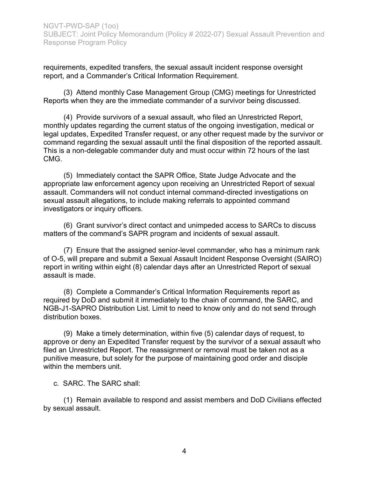requirements, expedited transfers, the sexual assault incident response oversight report, and a Commander's Critical Information Requirement.

 (3) Attend monthly Case Management Group (CMG) meetings for Unrestricted Reports when they are the immediate commander of a survivor being discussed.

 (4) Provide survivors of a sexual assault, who filed an Unrestricted Report, monthly updates regarding the current status of the ongoing investigation, medical or legal updates, Expedited Transfer request, or any other request made by the survivor or command regarding the sexual assault until the final disposition of the reported assault. This is a non-delegable commander duty and must occur within 72 hours of the last CMG.

 (5) Immediately contact the SAPR Office, State Judge Advocate and the appropriate law enforcement agency upon receiving an Unrestricted Report of sexual assault. Commanders will not conduct internal command-directed investigations on sexual assault allegations, to include making referrals to appointed command investigators or inquiry officers.

 (6) Grant survivor's direct contact and unimpeded access to SARCs to discuss matters of the command's SAPR program and incidents of sexual assault.

 (7) Ensure that the assigned senior-level commander, who has a minimum rank of O-5, will prepare and submit a Sexual Assault Incident Response Oversight (SAIRO) report in writing within eight (8) calendar days after an Unrestricted Report of sexual assault is made.

 (8) Complete a Commander's Critical Information Requirements report as required by DoD and submit it immediately to the chain of command, the SARC, and NGB-J1-SAPRO Distribution List. Limit to need to know only and do not send through distribution boxes.

 (9) Make a timely determination, within five (5) calendar days of request, to approve or deny an Expedited Transfer request by the survivor of a sexual assault who filed an Unrestricted Report. The reassignment or removal must be taken not as a punitive measure, but solely for the purpose of maintaining good order and disciple within the members unit.

c. SARC. The SARC shall:

 (1) Remain available to respond and assist members and DoD Civilians effected by sexual assault.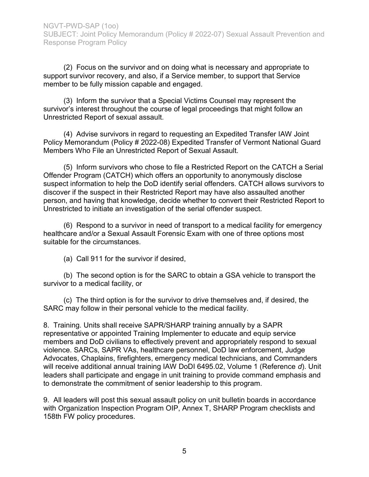(2) Focus on the survivor and on doing what is necessary and appropriate to support survivor recovery, and also, if a Service member, to support that Service member to be fully mission capable and engaged.

 (3) Inform the survivor that a Special Victims Counsel may represent the survivor's interest throughout the course of legal proceedings that might follow an Unrestricted Report of sexual assault.

 (4) Advise survivors in regard to requesting an Expedited Transfer IAW Joint Policy Memorandum (Policy # 2022-08) Expedited Transfer of Vermont National Guard Members Who File an Unrestricted Report of Sexual Assault.

 (5) Inform survivors who chose to file a Restricted Report on the CATCH a Serial Offender Program (CATCH) which offers an opportunity to anonymously disclose suspect information to help the DoD identify serial offenders. CATCH allows survivors to discover if the suspect in their Restricted Report may have also assaulted another person, and having that knowledge, decide whether to convert their Restricted Report to Unrestricted to initiate an investigation of the serial offender suspect.

 (6) Respond to a survivor in need of transport to a medical facility for emergency healthcare and/or a Sexual Assault Forensic Exam with one of three options most suitable for the circumstances.

(a) Call 911 for the survivor if desired,

 (b) The second option is for the SARC to obtain a GSA vehicle to transport the survivor to a medical facility, or

 (c) The third option is for the survivor to drive themselves and, if desired, the SARC may follow in their personal vehicle to the medical facility.

8. Training. Units shall receive SAPR/SHARP training annually by a SAPR representative or appointed Training Implementer to educate and equip service members and DoD civilians to effectively prevent and appropriately respond to sexual violence. SARCs, SAPR VAs, healthcare personnel, DoD law enforcement, Judge Advocates, Chaplains, firefighters, emergency medical technicians, and Commanders will receive additional annual training IAW DoDI 6495.02, Volume 1 (Reference d). Unit leaders shall participate and engage in unit training to provide command emphasis and to demonstrate the commitment of senior leadership to this program.

9. All leaders will post this sexual assault policy on unit bulletin boards in accordance with Organization Inspection Program OIP, Annex T, SHARP Program checklists and 158th FW policy procedures.